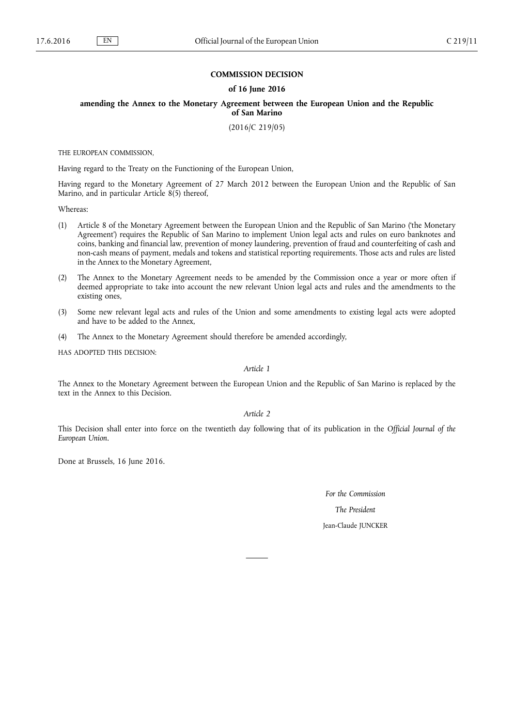#### **COMMISSION DECISION**

#### **of 16 June 2016**

**amending the Annex to the Monetary Agreement between the European Union and the Republic of San Marino**

(2016/C 219/05)

THE EUROPEAN COMMISSION,

Having regard to the Treaty on the Functioning of the European Union,

Having regard to the Monetary Agreement of 27 March 2012 between the European Union and the Republic of San Marino, and in particular Article 8(5) thereof,

Whereas:

- (1) Article 8 of the Monetary Agreement between the European Union and the Republic of San Marino ('the Monetary Agreement') requires the Republic of San Marino to implement Union legal acts and rules on euro banknotes and coins, banking and financial law, prevention of money laundering, prevention of fraud and counterfeiting of cash and non-cash means of payment, medals and tokens and statistical reporting requirements. Those acts and rules are listed in the Annex to the Monetary Agreement,
- (2) The Annex to the Monetary Agreement needs to be amended by the Commission once a year or more often if deemed appropriate to take into account the new relevant Union legal acts and rules and the amendments to the existing ones,
- (3) Some new relevant legal acts and rules of the Union and some amendments to existing legal acts were adopted and have to be added to the Annex,
- (4) The Annex to the Monetary Agreement should therefore be amended accordingly,

HAS ADOPTED THIS DECISION:

### *Article 1*

The Annex to the Monetary Agreement between the European Union and the Republic of San Marino is replaced by the text in the Annex to this Decision.

*Article 2*

This Decision shall enter into force on the twentieth day following that of its publication in the *Official Journal of the European Union*.

Done at Brussels, 16 June 2016.

*For the Commission*

*The President*

## Jean-Claude JUNCKER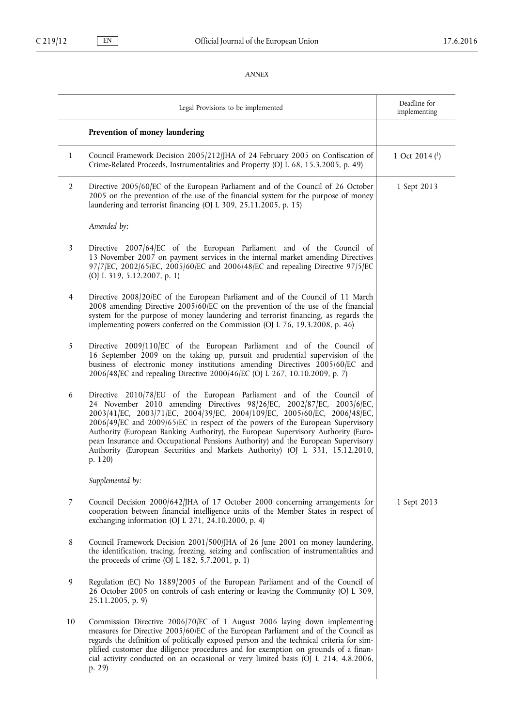# *ANNEX*

|                | Legal Provisions to be implemented                                                                                                                                                                                                                                                                                                                                                                                                                                                                                                                                               | Deadline for<br>implementing |
|----------------|----------------------------------------------------------------------------------------------------------------------------------------------------------------------------------------------------------------------------------------------------------------------------------------------------------------------------------------------------------------------------------------------------------------------------------------------------------------------------------------------------------------------------------------------------------------------------------|------------------------------|
|                | Prevention of money laundering                                                                                                                                                                                                                                                                                                                                                                                                                                                                                                                                                   |                              |
| 1              | Council Framework Decision 2005/212/JHA of 24 February 2005 on Confiscation of<br>Crime-Related Proceeds, Instrumentalities and Property (OJ L 68, 15.3.2005, p. 49)                                                                                                                                                                                                                                                                                                                                                                                                             | 1 Oct 2014 $($ $)$           |
| $\overline{2}$ | Directive 2005/60/EC of the European Parliament and of the Council of 26 October<br>2005 on the prevention of the use of the financial system for the purpose of money<br>laundering and terrorist financing (OJ L 309, 25.11.2005, p. 15)                                                                                                                                                                                                                                                                                                                                       | 1 Sept 2013                  |
|                | Amended by:                                                                                                                                                                                                                                                                                                                                                                                                                                                                                                                                                                      |                              |
| 3              | Directive 2007/64/EC of the European Parliament and of the Council of<br>13 November 2007 on payment services in the internal market amending Directives<br>97/7/EC, 2002/65/EC, 2005/60/EC and 2006/48/EC and repealing Directive 97/5/EC<br>(OJ L 319, 5.12.2007, p. 1)                                                                                                                                                                                                                                                                                                        |                              |
| $\overline{4}$ | Directive 2008/20/EC of the European Parliament and of the Council of 11 March<br>2008 amending Directive 2005/60/EC on the prevention of the use of the financial<br>system for the purpose of money laundering and terrorist financing, as regards the<br>implementing powers conferred on the Commission (OJ L 76, 19.3.2008, p. 46)                                                                                                                                                                                                                                          |                              |
| 5              | Directive 2009/110/EC of the European Parliament and of the Council of<br>16 September 2009 on the taking up, pursuit and prudential supervision of the<br>business of electronic money institutions amending Directives 2005/60/EC and<br>2006/48/EC and repealing Directive 2000/46/EC (OJ L 267, 10.10.2009, p. 7)                                                                                                                                                                                                                                                            |                              |
| 6              | Directive 2010/78/EU of the European Parliament and of the Council of<br>24 November 2010 amending Directives 98/26/EC, 2002/87/EC, 2003/6/EC,<br>2003/41/EC, 2003/71/EC, 2004/39/EC, 2004/109/EC, 2005/60/EC, 2006/48/EC,<br>2006/49/EC and 2009/65/EC in respect of the powers of the European Supervisory<br>Authority (European Banking Authority), the European Supervisory Authority (Euro-<br>pean Insurance and Occupational Pensions Authority) and the European Supervisory<br>Authority (European Securities and Markets Authority) (OJ L 331, 15.12.2010,<br>p. 120) |                              |
|                | Supplemented by:                                                                                                                                                                                                                                                                                                                                                                                                                                                                                                                                                                 |                              |
| 7              | Council Decision 2000/642/JHA of 17 October 2000 concerning arrangements for<br>cooperation between financial intelligence units of the Member States in respect of<br>exchanging information (OJ L 271, 24.10.2000, p. 4)                                                                                                                                                                                                                                                                                                                                                       | 1 Sept 2013                  |
| 8              | Council Framework Decision 2001/500/JHA of 26 June 2001 on money laundering,<br>the identification, tracing, freezing, seizing and confiscation of instrumentalities and<br>the proceeds of crime (OJ L 182, 5.7.2001, p. 1)                                                                                                                                                                                                                                                                                                                                                     |                              |
| 9              | Regulation (EC) No 1889/2005 of the European Parliament and of the Council of<br>26 October 2005 on controls of cash entering or leaving the Community (OJ L 309,<br>25.11.2005, p. 9)                                                                                                                                                                                                                                                                                                                                                                                           |                              |
| 10             | Commission Directive 2006/70/EC of 1 August 2006 laying down implementing<br>measures for Directive 2005/60/EC of the European Parliament and of the Council as<br>regards the definition of politically exposed person and the technical criteria for sim-<br>plified customer due diligence procedures and for exemption on grounds of a finan-<br>cial activity conducted on an occasional or very limited basis (OJ L 214, 4.8.2006,<br>p. 29)                                                                                                                               |                              |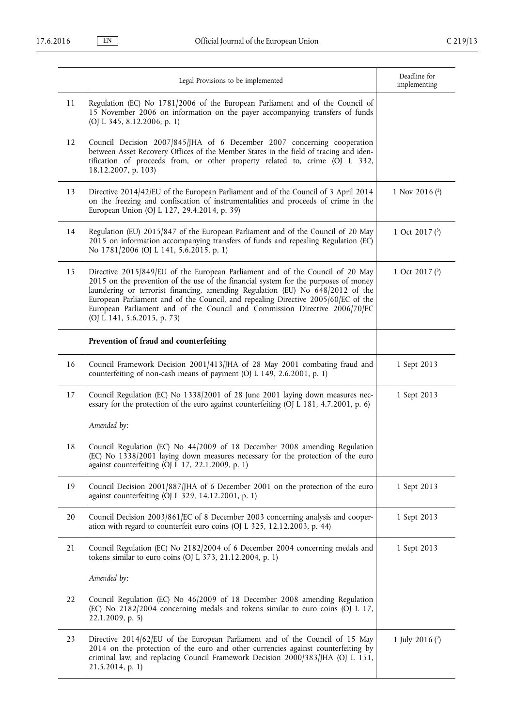|    | Legal Provisions to be implemented                                                                                                                                                                                                                                                                                                                                                                                                                       | Deadline for<br>implementing |
|----|----------------------------------------------------------------------------------------------------------------------------------------------------------------------------------------------------------------------------------------------------------------------------------------------------------------------------------------------------------------------------------------------------------------------------------------------------------|------------------------------|
| 11 | Regulation (EC) No 1781/2006 of the European Parliament and of the Council of<br>15 November 2006 on information on the payer accompanying transfers of funds<br>(OJ L 345, 8.12.2006, p. 1)                                                                                                                                                                                                                                                             |                              |
| 12 | Council Decision 2007/845/JHA of 6 December 2007 concerning cooperation<br>between Asset Recovery Offices of the Member States in the field of tracing and iden-<br>tification of proceeds from, or other property related to, crime (OJ L 332,<br>18.12.2007, p. 103)                                                                                                                                                                                   |                              |
| 13 | Directive 2014/42/EU of the European Parliament and of the Council of 3 April 2014<br>on the freezing and confiscation of instrumentalities and proceeds of crime in the<br>European Union (OJ L 127, 29.4.2014, p. 39)                                                                                                                                                                                                                                  | 1 Nov 2016 $(2)$             |
| 14 | Regulation (EU) 2015/847 of the European Parliament and of the Council of 20 May<br>2015 on information accompanying transfers of funds and repealing Regulation (EC)<br>No 1781/2006 (OJ L 141, 5.6.2015, p. 1)                                                                                                                                                                                                                                         | 1 Oct 2017 $(3)$             |
| 15 | Directive 2015/849/EU of the European Parliament and of the Council of 20 May<br>2015 on the prevention of the use of the financial system for the purposes of money<br>laundering or terrorist financing, amending Regulation (EU) No 648/2012 of the<br>European Parliament and of the Council, and repealing Directive 2005/60/EC of the<br>European Parliament and of the Council and Commission Directive 2006/70/EC<br>(OJ L 141, 5.6.2015, p. 73) | 1 Oct 2017 $(3)$             |
|    | Prevention of fraud and counterfeiting                                                                                                                                                                                                                                                                                                                                                                                                                   |                              |
| 16 | Council Framework Decision 2001/413/JHA of 28 May 2001 combating fraud and<br>counterfeiting of non-cash means of payment (OJ L 149, 2.6.2001, p. 1)                                                                                                                                                                                                                                                                                                     | 1 Sept 2013                  |
| 17 | Council Regulation (EC) No 1338/2001 of 28 June 2001 laying down measures nec-<br>essary for the protection of the euro against counterfeiting (OJ L 181, 4.7.2001, p. 6)                                                                                                                                                                                                                                                                                | 1 Sept 2013                  |
|    | Amended by:                                                                                                                                                                                                                                                                                                                                                                                                                                              |                              |
| 18 | Council Regulation (EC) No 44/2009 of 18 December 2008 amending Regulation<br>(EC) No 1338/2001 laying down measures necessary for the protection of the euro<br>against counterfeiting (OJ L 17, 22.1.2009, p. 1)                                                                                                                                                                                                                                       |                              |
| 19 | Council Decision 2001/887/JHA of 6 December 2001 on the protection of the euro<br>against counterfeiting (OJ L 329, 14.12.2001, p. 1)                                                                                                                                                                                                                                                                                                                    | 1 Sept 2013                  |
| 20 | Council Decision 2003/861/EC of 8 December 2003 concerning analysis and cooper-<br>ation with regard to counterfeit euro coins (OJ L 325, 12.12.2003, p. 44)                                                                                                                                                                                                                                                                                             | 1 Sept 2013                  |
| 21 | Council Regulation (EC) No 2182/2004 of 6 December 2004 concerning medals and<br>tokens similar to euro coins (OJ L 373, 21.12.2004, p. 1)                                                                                                                                                                                                                                                                                                               | 1 Sept 2013                  |
|    | Amended by:                                                                                                                                                                                                                                                                                                                                                                                                                                              |                              |
| 22 | Council Regulation (EC) No 46/2009 of 18 December 2008 amending Regulation<br>(EC) No 2182/2004 concerning medals and tokens similar to euro coins (OJ L 17,<br>$22.1.2009$ , p. 5)                                                                                                                                                                                                                                                                      |                              |
| 23 | Directive 2014/62/EU of the European Parliament and of the Council of 15 May<br>2014 on the protection of the euro and other currencies against counterfeiting by<br>criminal law, and replacing Council Framework Decision 2000/383/JHA (OJ L 151,<br>$21.5.2014$ , p. 1)                                                                                                                                                                               | 1 July 2016 $(2)$            |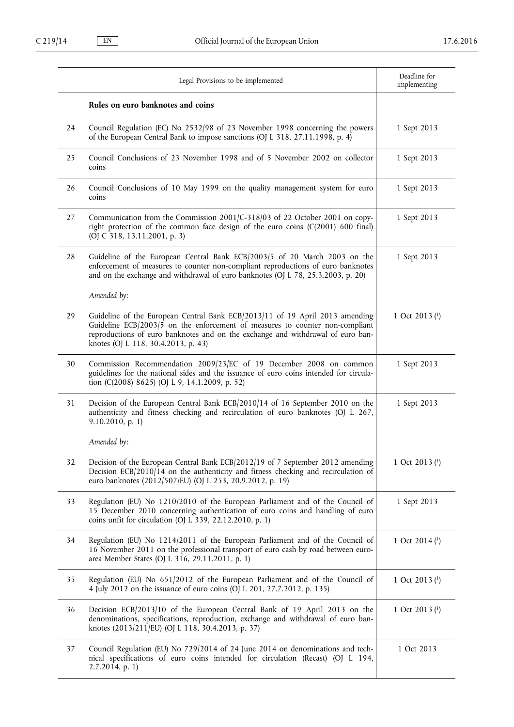|    | Legal Provisions to be implemented                                                                                                                                                                                                                                                     | Deadline for<br>implementing |
|----|----------------------------------------------------------------------------------------------------------------------------------------------------------------------------------------------------------------------------------------------------------------------------------------|------------------------------|
|    | Rules on euro banknotes and coins                                                                                                                                                                                                                                                      |                              |
| 24 | Council Regulation (EC) No 2532/98 of 23 November 1998 concerning the powers<br>of the European Central Bank to impose sanctions (OJ L 318, 27.11.1998, p. 4)                                                                                                                          | 1 Sept 2013                  |
| 25 | Council Conclusions of 23 November 1998 and of 5 November 2002 on collector<br>coins                                                                                                                                                                                                   | 1 Sept 2013                  |
| 26 | Council Conclusions of 10 May 1999 on the quality management system for euro<br>coins                                                                                                                                                                                                  | 1 Sept 2013                  |
| 27 | Communication from the Commission 2001/C-318/03 of 22 October 2001 on copy-<br>right protection of the common face design of the euro coins (C(2001) 600 final)<br>(OJ C 318, 13.11.2001, p. 3)                                                                                        | 1 Sept 2013                  |
| 28 | Guideline of the European Central Bank ECB/2003/5 of 20 March 2003 on the<br>enforcement of measures to counter non-compliant reproductions of euro banknotes<br>and on the exchange and withdrawal of euro banknotes (OJ L 78, 25.3.2003, p. 20)                                      | 1 Sept 2013                  |
|    | Amended by:                                                                                                                                                                                                                                                                            |                              |
| 29 | Guideline of the European Central Bank ECB/2013/11 of 19 April 2013 amending<br>Guideline ECB/2003/5 on the enforcement of measures to counter non-compliant<br>reproductions of euro banknotes and on the exchange and withdrawal of euro ban-<br>knotes (OJ L 118, 30.4.2013, p. 43) | 1 Oct 2013 $(1)$             |
| 30 | Commission Recommendation 2009/23/EC of 19 December 2008 on common<br>guidelines for the national sides and the issuance of euro coins intended for circula-<br>tion (C(2008) 8625) (OJ L 9, 14.1.2009, p. 52)                                                                         | 1 Sept 2013                  |
| 31 | Decision of the European Central Bank ECB/2010/14 of 16 September 2010 on the<br>authenticity and fitness checking and recirculation of euro banknotes (OJ L 267,<br>9.10.2010, p. 1)                                                                                                  | 1 Sept 2013                  |
|    | Amended by:                                                                                                                                                                                                                                                                            |                              |
| 32 | Decision of the European Central Bank ECB/2012/19 of 7 September 2012 amending<br>Decision ECB/2010/14 on the authenticity and fitness checking and recirculation of<br>euro banknotes (2012/507/EU) (OJ L 253, 20.9.2012, p. 19)                                                      | 1 Oct 2013 (1)               |
| 33 | Regulation (EU) No 1210/2010 of the European Parliament and of the Council of<br>15 December 2010 concerning authentication of euro coins and handling of euro<br>coins unfit for circulation (OJ L 339, 22.12.2010, p. 1)                                                             | 1 Sept 2013                  |
| 34 | Regulation (EU) No 1214/2011 of the European Parliament and of the Council of<br>16 November 2011 on the professional transport of euro cash by road between euro-<br>area Member States (OJ L 316, 29.11.2011, p. 1)                                                                  | 1 Oct 2014 $($ 1 $)$         |
| 35 | Regulation (EU) No 651/2012 of the European Parliament and of the Council of<br>4 July 2012 on the issuance of euro coins (OJ L 201, 27.7.2012, p. 135)                                                                                                                                | 1 Oct 2013 $(1)$             |
| 36 | Decision ECB/2013/10 of the European Central Bank of 19 April 2013 on the<br>denominations, specifications, reproduction, exchange and withdrawal of euro ban-<br>knotes (2013/211/EU) (OJ L 118, 30.4.2013, p. 37)                                                                    | 1 Oct 2013 $(1)$             |
| 37 | Council Regulation (EU) No 729/2014 of 24 June 2014 on denominations and tech-<br>nical specifications of euro coins intended for circulation (Recast) (OJ L 194,<br>$2.7.2014$ , p. 1)                                                                                                | 1 Oct 2013                   |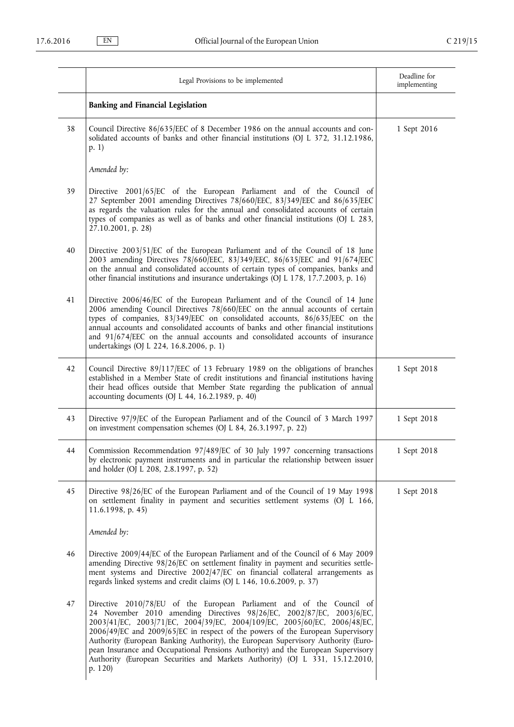|    | Legal Provisions to be implemented                                                                                                                                                                                                                                                                                                                                                                                                                                                                                                                                               | Deadline for<br>implementing |
|----|----------------------------------------------------------------------------------------------------------------------------------------------------------------------------------------------------------------------------------------------------------------------------------------------------------------------------------------------------------------------------------------------------------------------------------------------------------------------------------------------------------------------------------------------------------------------------------|------------------------------|
|    | <b>Banking and Financial Legislation</b>                                                                                                                                                                                                                                                                                                                                                                                                                                                                                                                                         |                              |
| 38 | Council Directive 86/635/EEC of 8 December 1986 on the annual accounts and con-<br>solidated accounts of banks and other financial institutions (OJ L 372, 31.12.1986,<br>p. 1)                                                                                                                                                                                                                                                                                                                                                                                                  | 1 Sept 2016                  |
|    | Amended by:                                                                                                                                                                                                                                                                                                                                                                                                                                                                                                                                                                      |                              |
| 39 | Directive 2001/65/EC of the European Parliament and of the Council of<br>27 September 2001 amending Directives 78/660/EEC, 83/349/EEC and 86/635/EEC<br>as regards the valuation rules for the annual and consolidated accounts of certain<br>types of companies as well as of banks and other financial institutions (OJ L 283,<br>27.10.2001, p. 28)                                                                                                                                                                                                                           |                              |
| 40 | Directive 2003/51/EC of the European Parliament and of the Council of 18 June<br>2003 amending Directives 78/660 EEC, 83/349 EEC, 86/635 EEC and 91/674 EEC<br>on the annual and consolidated accounts of certain types of companies, banks and<br>other financial institutions and insurance undertakings (OJ L 178, 17.7.2003, p. 16)                                                                                                                                                                                                                                          |                              |
| 41 | Directive 2006/46/EC of the European Parliament and of the Council of 14 June<br>2006 amending Council Directives 78/660/EEC on the annual accounts of certain<br>types of companies, 83/349/EEC on consolidated accounts, 86/635/EEC on the<br>annual accounts and consolidated accounts of banks and other financial institutions<br>and 91/674/EEC on the annual accounts and consolidated accounts of insurance<br>undertakings (OJ L 224, 16.8.2006, p. 1)                                                                                                                  |                              |
| 42 | Council Directive 89/117/EEC of 13 February 1989 on the obligations of branches<br>established in a Member State of credit institutions and financial institutions having<br>their head offices outside that Member State regarding the publication of annual<br>accounting documents (OJ L 44, 16.2.1989, p. 40)                                                                                                                                                                                                                                                                | 1 Sept 2018                  |
| 43 | Directive 97/9/EC of the European Parliament and of the Council of 3 March 1997<br>on investment compensation schemes (OJ L 84, 26.3.1997, p. 22)                                                                                                                                                                                                                                                                                                                                                                                                                                | 1 Sept 2018                  |
| 44 | Commission Recommendation 97/489/EC of 30 July 1997 concerning transactions<br>by electronic payment instruments and in particular the relationship between issuer<br>and holder (OJ L 208, 2.8.1997, p. 52)                                                                                                                                                                                                                                                                                                                                                                     | 1 Sept 2018                  |
| 45 | Directive 98/26/EC of the European Parliament and of the Council of 19 May 1998<br>on settlement finality in payment and securities settlement systems (OJ L 166,<br>11.6.1998, p. 45)                                                                                                                                                                                                                                                                                                                                                                                           | 1 Sept 2018                  |
|    | Amended by:                                                                                                                                                                                                                                                                                                                                                                                                                                                                                                                                                                      |                              |
| 46 | Directive 2009/44/EC of the European Parliament and of the Council of 6 May 2009<br>amending Directive 98/26/EC on settlement finality in payment and securities settle-<br>ment systems and Directive 2002/47/EC on financial collateral arrangements as<br>regards linked systems and credit claims (OJ L 146, 10.6.2009, p. 37)                                                                                                                                                                                                                                               |                              |
| 47 | Directive 2010/78/EU of the European Parliament and of the Council of<br>24 November 2010 amending Directives 98/26/EC, 2002/87/EC, 2003/6/EC,<br>2003/41/EC, 2003/71/EC, 2004/39/EC, 2004/109/EC, 2005/60/EC, 2006/48/EC,<br>2006/49/EC and 2009/65/EC in respect of the powers of the European Supervisory<br>Authority (European Banking Authority), the European Supervisory Authority (Euro-<br>pean Insurance and Occupational Pensions Authority) and the European Supervisory<br>Authority (European Securities and Markets Authority) (OJ L 331, 15.12.2010,<br>p. 120) |                              |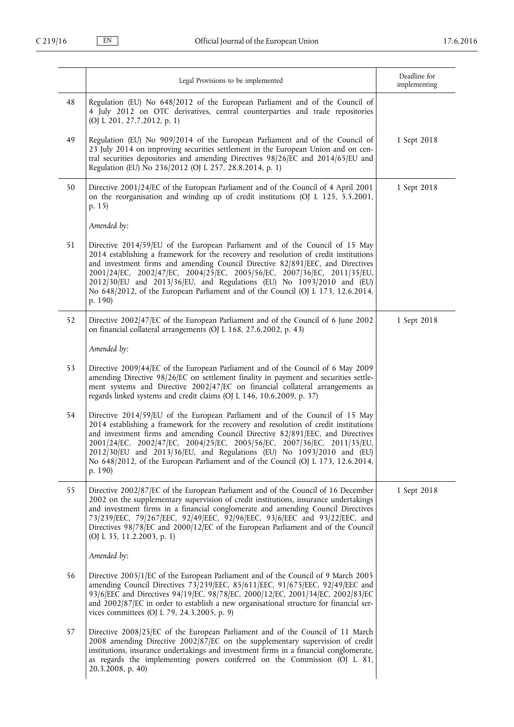|    | Legal Provisions to be implemented                                                                                                                                                                                                                                                                                                                                                                                                                                                                        | Deadline for<br>implementing |
|----|-----------------------------------------------------------------------------------------------------------------------------------------------------------------------------------------------------------------------------------------------------------------------------------------------------------------------------------------------------------------------------------------------------------------------------------------------------------------------------------------------------------|------------------------------|
| 48 | Regulation (EU) No 648/2012 of the European Parliament and of the Council of<br>4 July 2012 on OTC derivatives, central counterparties and trade repositories<br>(OJ L 201, 27.7.2012, p. 1)                                                                                                                                                                                                                                                                                                              |                              |
| 49 | Regulation (EU) No 909/2014 of the European Parliament and of the Council of<br>23 July 2014 on improving securities settlement in the European Union and on cen-<br>tral securities depositories and amending Directives 98/26/EC and 2014/65/EU and<br>Regulation (EU) No 236/2012 (OJ L 257, 28.8.2014, p. 1)                                                                                                                                                                                          | 1 Sept 2018                  |
| 50 | Directive 2001/24/EC of the European Parliament and of the Council of 4 April 2001<br>on the reorganisation and winding up of credit institutions (OJ L 125, 5.5.2001,<br>p. 15)                                                                                                                                                                                                                                                                                                                          | 1 Sept 2018                  |
|    | Amended by:                                                                                                                                                                                                                                                                                                                                                                                                                                                                                               |                              |
| 51 | Directive 2014/59/EU of the European Parliament and of the Council of 15 May<br>2014 establishing a framework for the recovery and resolution of credit institutions<br>and investment firms and amending Council Directive 82/891/EEC, and Directives<br>2001/24/EC, 2002/47/EC, 2004/25/EC, 2005/56/EC, 2007/36/EC, 2011/35/EU,<br>2012/30/EU and 2013/36/EU, and Regulations (EU) No 1093/2010 and (EU)<br>No 648/2012, of the European Parliament and of the Council (OJ L 173, 12.6.2014,<br>p. 190) |                              |
| 52 | Directive 2002/47/EC of the European Parliament and of the Council of 6 June 2002<br>on financial collateral arrangements (OJ L 168, 27.6.2002, p. 43)                                                                                                                                                                                                                                                                                                                                                    | 1 Sept 2018                  |
|    | Amended by:                                                                                                                                                                                                                                                                                                                                                                                                                                                                                               |                              |
| 53 | Directive 2009/44/EC of the European Parliament and of the Council of 6 May 2009<br>amending Directive 98/26/EC on settlement finality in payment and securities settle-<br>ment systems and Directive 2002/47/EC on financial collateral arrangements as<br>regards linked systems and credit claims (OJ L 146, 10.6.2009, p. 37)                                                                                                                                                                        |                              |
| 54 | Directive 2014/59/EU of the European Parliament and of the Council of 15 May<br>2014 establishing a framework for the recovery and resolution of credit institutions<br>and investment firms and amending Council Directive 82/891/EEC, and Directives<br>2001/24/EC, 2002/47/EC, 2004/25/EC, 2005/56/EC, 2007/36/EC, 2011/35/EU,<br>2012/30/EU and 2013/36/EU, and Regulations (EU) No 1093/2010 and (EU)<br>No 648/2012, of the European Parliament and of the Council (OJ L 173, 12.6.2014,<br>p. 190) |                              |
| 55 | Directive 2002/87/EC of the European Parliament and of the Council of 16 December<br>2002 on the supplementary supervision of credit institutions, insurance undertakings<br>and investment firms in a financial conglomerate and amending Council Directives<br>73/239/EEC, 79/267/EEC, 92/49/EEC, 92/96/EEC, 93/6/EEC and 93/22/EEC, and<br>Directives 98/78/EC and 2000/12/EC of the European Parliament and of the Council<br>(OJ L 35, 11.2.2003, p. 1)                                              | 1 Sept 2018                  |
|    | Amended by:                                                                                                                                                                                                                                                                                                                                                                                                                                                                                               |                              |
| 56 | Directive 2005/1/EC of the European Parliament and of the Council of 9 March 2005<br>amending Council Directives 73/239/EEC, 85/611/EEC, 91/675/EEC, 92/49/EEC and<br>93/6/EEC and Directives 94/19/EC, 98/78/EC, 2000/12/EC, 2001/34/EC, 2002/83/EC<br>and 2002/87/EC in order to establish a new organisational structure for financial ser-<br>vices committees (OJ L 79, 24.3.2005, p. 9)                                                                                                             |                              |
| 57 | Directive 2008/25/EC of the European Parliament and of the Council of 11 March<br>2008 amending Directive 2002/87/EC on the supplementary supervision of credit<br>institutions, insurance undertakings and investment firms in a financial conglomerate,<br>as regards the implementing powers conferred on the Commission (OJ L 81,<br>20.3.2008, p. 40)                                                                                                                                                |                              |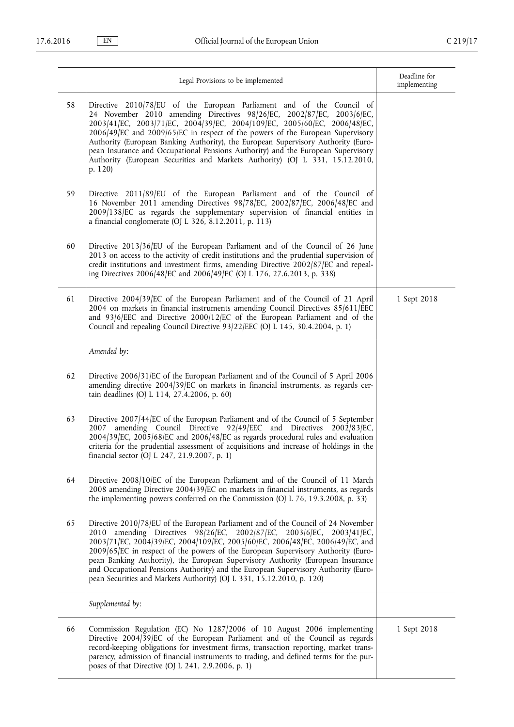|    | Legal Provisions to be implemented                                                                                                                                                                                                                                                                                                                                                                                                                                                                                                                                                | Deadline for<br>implementing |
|----|-----------------------------------------------------------------------------------------------------------------------------------------------------------------------------------------------------------------------------------------------------------------------------------------------------------------------------------------------------------------------------------------------------------------------------------------------------------------------------------------------------------------------------------------------------------------------------------|------------------------------|
| 58 | Directive 2010/78/EU of the European Parliament and of the Council of<br>24 November 2010 amending Directives 98/26/EC, 2002/87/EC, 2003/6/EC,<br>2003/41/EC, 2003/71/EC, 2004/39/EC, 2004/109/EC, 2005/60/EC, 2006/48/EC,<br>2006/49/EC and 2009/65/EC in respect of the powers of the European Supervisory<br>Authority (European Banking Authority), the European Supervisory Authority (Euro-<br>pean Insurance and Occupational Pensions Authority) and the European Supervisory<br>Authority (European Securities and Markets Authority) (OJ L 331, 15.12.2010,<br>p. $120$ |                              |
| 59 | Directive 2011/89/EU of the European Parliament and of the Council of<br>16 November 2011 amending Directives 98/78/EC, 2002/87/EC, 2006/48/EC and<br>2009/138/EC as regards the supplementary supervision of financial entities in<br>a financial conglomerate (OJ L 326, 8.12.2011, p. 113)                                                                                                                                                                                                                                                                                     |                              |
| 60 | Directive 2013/36/EU of the European Parliament and of the Council of 26 June<br>2013 on access to the activity of credit institutions and the prudential supervision of<br>credit institutions and investment firms, amending Directive 2002/87/EC and repeal-<br>ing Directives 2006/48/EC and 2006/49/EC (OJ L 176, 27.6.2013, p. 338)                                                                                                                                                                                                                                         |                              |
| 61 | Directive 2004/39/EC of the European Parliament and of the Council of 21 April<br>2004 on markets in financial instruments amending Council Directives 85/611/EEC<br>and 93/6/EEC and Directive 2000/12/EC of the European Parliament and of the<br>Council and repealing Council Directive 93/22/EEC (OJ L 145, 30.4.2004, p. 1)                                                                                                                                                                                                                                                 | 1 Sept 2018                  |
|    | Amended by:                                                                                                                                                                                                                                                                                                                                                                                                                                                                                                                                                                       |                              |
| 62 | Directive 2006/31/EC of the European Parliament and of the Council of 5 April 2006<br>amending directive 2004/39/EC on markets in financial instruments, as regards cer-<br>tain deadlines (OJ L 114, 27.4.2006, p. 60)                                                                                                                                                                                                                                                                                                                                                           |                              |
| 63 | Directive 2007/44/EC of the European Parliament and of the Council of 5 September<br>amending Council Directive 92/49/EEC and Directives 2002/83/EC,<br>2007<br>2004/39/EC, 2005/68/EC and 2006/48/EC as regards procedural rules and evaluation<br>criteria for the prudential assessment of acquisitions and increase of holdings in the<br>financial sector (OJ L 247, 21.9.2007, p. 1)                                                                                                                                                                                        |                              |
| 64 | Directive 2008/10/EC of the European Parliament and of the Council of 11 March<br>2008 amending Directive 2004/39/EC on markets in financial instruments, as regards<br>the implementing powers conferred on the Commission (OJ L 76, 19.3.2008, p. 33)                                                                                                                                                                                                                                                                                                                           |                              |
| 65 | Directive 2010/78/EU of the European Parliament and of the Council of 24 November<br>2010 amending Directives 98/26/EC, 2002/87/EC, 2003/6/EC, 2003/41/EC,<br>2003/71/EC, 2004/39/EC, 2004/109/EC, 2005/60/EC, 2006/48/EC, 2006/49/EC, and<br>2009/65/EC in respect of the powers of the European Supervisory Authority (Euro-<br>pean Banking Authority), the European Supervisory Authority (European Insurance<br>and Occupational Pensions Authority) and the European Supervisory Authority (Euro-<br>pean Securities and Markets Authority) (OJ L 331, 15.12.2010, p. 120)  |                              |
|    | Supplemented by:                                                                                                                                                                                                                                                                                                                                                                                                                                                                                                                                                                  |                              |
| 66 | Commission Regulation (EC) No 1287/2006 of 10 August 2006 implementing<br>Directive 2004/39/EC of the European Parliament and of the Council as regards<br>record-keeping obligations for investment firms, transaction reporting, market trans-<br>parency, admission of financial instruments to trading, and defined terms for the pur-<br>poses of that Directive (OJ L 241, 2.9.2006, p. 1)                                                                                                                                                                                  | 1 Sept 2018                  |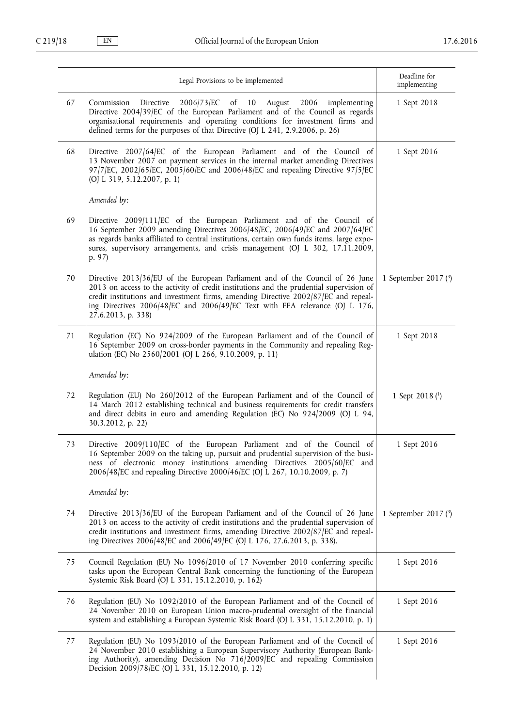|    | Legal Provisions to be implemented                                                                                                                                                                                                                                                                                                                                   | Deadline for<br>implementing |
|----|----------------------------------------------------------------------------------------------------------------------------------------------------------------------------------------------------------------------------------------------------------------------------------------------------------------------------------------------------------------------|------------------------------|
| 67 | 2006/73/EC of 10 August 2006<br>Commission Directive<br>implementing<br>Directive 2004/39/EC of the European Parliament and of the Council as regards<br>organisational requirements and operating conditions for investment firms and<br>defined terms for the purposes of that Directive (OJ L 241, 2.9.2006, p. 26)                                               | 1 Sept 2018                  |
| 68 | Directive 2007/64/EC of the European Parliament and of the Council of<br>13 November 2007 on payment services in the internal market amending Directives<br>97/7/EC, 2002/65/EC, 2005/60/EC and 2006/48/EC and repealing Directive 97/5/EC<br>(OJ L 319, 5.12.2007, p. 1)                                                                                            | 1 Sept 2016                  |
|    | Amended by:                                                                                                                                                                                                                                                                                                                                                          |                              |
| 69 | Directive 2009/111/EC of the European Parliament and of the Council of<br>16 September 2009 amending Directives 2006/48/EC, 2006/49/EC and 2007/64/EC<br>as regards banks affiliated to central institutions, certain own funds items, large expo-<br>sures, supervisory arrangements, and crisis management (OJ L 302, 17.11.2009,<br>p. 97)                        |                              |
| 70 | Directive 2013/36/EU of the European Parliament and of the Council of 26 June<br>2013 on access to the activity of credit institutions and the prudential supervision of<br>credit institutions and investment firms, amending Directive 2002/87/EC and repeal-<br>ing Directives 2006/48/EC and 2006/49/EC Text with EEA relevance (OJ L 176,<br>27.6.2013, p. 338) | 1 September 2017 $(3)$       |
| 71 | Regulation (EC) No 924/2009 of the European Parliament and of the Council of<br>16 September 2009 on cross-border payments in the Community and repealing Reg-<br>ulation (EC) No 2560/2001 (OJ L 266, 9.10.2009, p. 11)                                                                                                                                             | 1 Sept 2018                  |
|    | Amended by:                                                                                                                                                                                                                                                                                                                                                          |                              |
| 72 | Regulation (EU) No 260/2012 of the European Parliament and of the Council of<br>14 March 2012 establishing technical and business requirements for credit transfers<br>and direct debits in euro and amending Regulation (EC) No 924/2009 (OJ L 94,<br>30.3.2012, p. 22)                                                                                             | 1 Sept 2018 $(1)$            |
| 73 | Directive 2009/110/EC of the European Parliament and of the Council of<br>16 September 2009 on the taking up, pursuit and prudential supervision of the busi-<br>ness of electronic money institutions amending Directives 2005/60/EC and<br>2006/48/EC and repealing Directive 2000/46/EC (OJ L 267, 10.10.2009, p. 7)                                              | 1 Sept 2016                  |
|    | Amended by:                                                                                                                                                                                                                                                                                                                                                          |                              |
| 74 | Directive 2013/36/EU of the European Parliament and of the Council of 26 June<br>2013 on access to the activity of credit institutions and the prudential supervision of<br>credit institutions and investment firms, amending Directive 2002/87/EC and repeal-<br>ing Directives 2006/48/EC and 2006/49/EC (OJ L 176, 27.6.2013, p. 338).                           | 1 September 2017 $(3)$       |
| 75 | Council Regulation (EU) No 1096/2010 of 17 November 2010 conferring specific<br>tasks upon the European Central Bank concerning the functioning of the European<br>Systemic Risk Board (OJ L 331, 15.12.2010, p. 162)                                                                                                                                                | 1 Sept 2016                  |
| 76 | Regulation (EU) No 1092/2010 of the European Parliament and of the Council of<br>24 November 2010 on European Union macro-prudential oversight of the financial<br>system and establishing a European Systemic Risk Board (OJ L 331, 15.12.2010, p. 1)                                                                                                               | 1 Sept 2016                  |
| 77 | Regulation (EU) No 1093/2010 of the European Parliament and of the Council of<br>24 November 2010 establishing a European Supervisory Authority (European Bank-<br>ing Authority), amending Decision No 716/2009/EC and repealing Commission<br>Decision 2009/78/EC (OJ L 331, 15.12.2010, p. 12)                                                                    | 1 Sept 2016                  |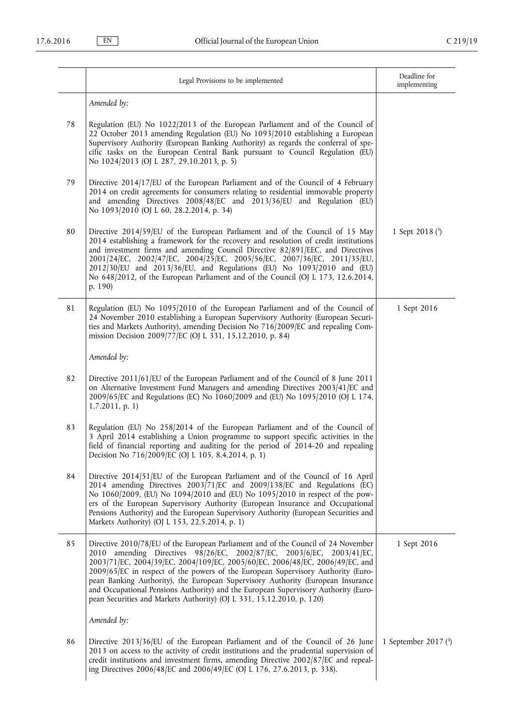|    | Legal Provisions to be implemented                                                                                                                                                                                                                                                                                                                                                                                                                                                                                                                                               | Deadline for<br>implementing |
|----|----------------------------------------------------------------------------------------------------------------------------------------------------------------------------------------------------------------------------------------------------------------------------------------------------------------------------------------------------------------------------------------------------------------------------------------------------------------------------------------------------------------------------------------------------------------------------------|------------------------------|
|    | Amended by:                                                                                                                                                                                                                                                                                                                                                                                                                                                                                                                                                                      |                              |
| 78 | Regulation (EU) No 1022/2013 of the European Parliament and of the Council of<br>22 October 2013 amending Regulation (EU) No 1093/2010 establishing a European<br>Supervisory Authority (European Banking Authority) as regards the conferral of spe-<br>cific tasks on the European Central Bank pursuant to Council Regulation (EU)<br>No 1024/2013 (OJ L 287, 29.10.2013, p. 5)                                                                                                                                                                                               |                              |
| 79 | Directive 2014/17/EU of the European Parliament and of the Council of 4 February<br>2014 on credit agreements for consumers relating to residential immovable property<br>and amending Directives 2008/48/EC and 2013/36/EU and Regulation (EU)<br>No 1093/2010 (OJ L 60, 28.2.2014, p. 34)                                                                                                                                                                                                                                                                                      |                              |
| 80 | Directive 2014/59/EU of the European Parliament and of the Council of 15 May<br>2014 establishing a framework for the recovery and resolution of credit institutions<br>and investment firms and amending Council Directive 82/891/EEC, and Directives<br>2001/24/EC, 2002/47/EC, 2004/25/EC, 2005/56/EC, 2007/36/EC, 2011/35/EU,<br>2012/30/EU and 2013/36/EU, and Regulations (EU) No 1093/2010 and (EU)<br>No 648/2012, of the European Parliament and of the Council (OJ L 173, 12.6.2014,<br>p. 190)                                                                        | 1 Sept 2018 $(3)$            |
| 81 | Regulation (EU) No 1095/2010 of the European Parliament and of the Council of<br>24 November 2010 establishing a European Supervisory Authority (European Securi-<br>ties and Markets Authority), amending Decision No 716/2009/EC and repealing Com-<br>mission Decision 2009/77/EC (OJ L 331, 15.12.2010, p. 84)                                                                                                                                                                                                                                                               | 1 Sept 2016                  |
|    | Amended by:                                                                                                                                                                                                                                                                                                                                                                                                                                                                                                                                                                      |                              |
| 82 | Directive 2011/61/EU of the European Parliament and of the Council of 8 June 2011<br>on Alternative Investment Fund Managers and amending Directives 2003/41/EC and<br>2009/65/EC and Regulations (EC) No 1060/2009 and (EU) No 1095/2010 (OJ L 174,<br>1.7.2011, p. 1)                                                                                                                                                                                                                                                                                                          |                              |
| 83 | Regulation (EU) No 258/2014 of the European Parliament and of the Council of<br>3 April 2014 establishing a Union programme to support specific activities in the<br>field of financial reporting and auditing for the period of 2014-20 and repealing<br>Decision No 716/2009/EC (OJ L 105, 8.4.2014, p. 1)                                                                                                                                                                                                                                                                     |                              |
| 84 | Directive 2014/51/EU of the European Parliament and of the Council of 16 April<br>2014 amending Directives 2003/71/EC and 2009/138/EC and Regulations (EC)<br>No 1060/2009, (EU) No 1094/2010 and (EU) No 1095/2010 in respect of the pow-<br>ers of the European Supervisory Authority (European Insurance and Occupational<br>Pensions Authority) and the European Supervisory Authority (European Securities and<br>Markets Authority) (OJ L 153, 22.5.2014, p. 1)                                                                                                            |                              |
| 85 | Directive 2010/78/EU of the European Parliament and of the Council of 24 November<br>2010 amending Directives 98/26/EC, 2002/87/EC, 2003/6/EC, 2003/41/EC,<br>2003/71/EC, 2004/39/EC, 2004/109/EC, 2005/60/EC, 2006/48/EC, 2006/49/EC, and<br>2009/65/EC in respect of the powers of the European Supervisory Authority (Euro-<br>pean Banking Authority), the European Supervisory Authority (European Insurance<br>and Occupational Pensions Authority) and the European Supervisory Authority (Euro-<br>pean Securities and Markets Authority) (OJ L 331, 15.12.2010, p. 120) | 1 Sept 2016                  |
|    | Amended by:                                                                                                                                                                                                                                                                                                                                                                                                                                                                                                                                                                      |                              |
| 86 | Directive 2013/36/EU of the European Parliament and of the Council of 26 June<br>2013 on access to the activity of credit institutions and the prudential supervision of<br>credit institutions and investment firms, amending Directive 2002/87/EC and repeal-<br>ing Directives 2006/48/EC and 2006/49/EC (OJ L 176, 27.6.2013, p. 338).                                                                                                                                                                                                                                       | 1 September 2017 $(3)$       |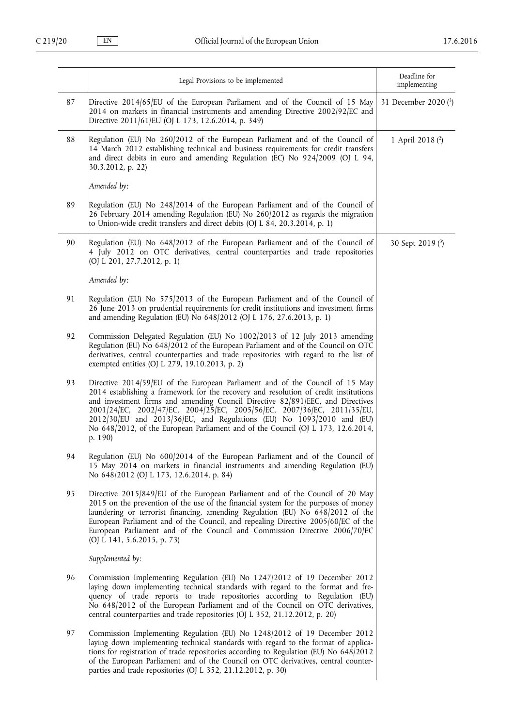|    | Legal Provisions to be implemented                                                                                                                                                                                                                                                                                                                                                                                                                                                                        | Deadline for<br>implementing |
|----|-----------------------------------------------------------------------------------------------------------------------------------------------------------------------------------------------------------------------------------------------------------------------------------------------------------------------------------------------------------------------------------------------------------------------------------------------------------------------------------------------------------|------------------------------|
| 87 | Directive 2014/65/EU of the European Parliament and of the Council of 15 May<br>2014 on markets in financial instruments and amending Directive 2002/92/EC and<br>Directive 2011/61/EU (OJ L 173, 12.6.2014, p. 349)                                                                                                                                                                                                                                                                                      | 31 December 2020 (3)         |
| 88 | Regulation (EU) No 260/2012 of the European Parliament and of the Council of<br>14 March 2012 establishing technical and business requirements for credit transfers<br>and direct debits in euro and amending Regulation (EC) No 924/2009 (OJ L 94,<br>30.3.2012, p. 22)                                                                                                                                                                                                                                  | 1 April 2018 (2)             |
|    | Amended by:                                                                                                                                                                                                                                                                                                                                                                                                                                                                                               |                              |
| 89 | Regulation (EU) No 248/2014 of the European Parliament and of the Council of<br>26 February 2014 amending Regulation (EU) No 260/2012 as regards the migration<br>to Union-wide credit transfers and direct debits (OJ L 84, 20.3.2014, p. 1)                                                                                                                                                                                                                                                             |                              |
| 90 | Regulation (EU) No 648/2012 of the European Parliament and of the Council of<br>4 July 2012 on OTC derivatives, central counterparties and trade repositories<br>(OJ L 201, 27.7.2012, p. 1)                                                                                                                                                                                                                                                                                                              | 30 Sept 2019 (3)             |
|    | Amended by:                                                                                                                                                                                                                                                                                                                                                                                                                                                                                               |                              |
| 91 | Regulation (EU) No 575/2013 of the European Parliament and of the Council of<br>26 June 2013 on prudential requirements for credit institutions and investment firms<br>and amending Regulation (EU) No 648/2012 (OJ L 176, 27.6.2013, p. 1)                                                                                                                                                                                                                                                              |                              |
| 92 | Commission Delegated Regulation (EU) No 1002/2013 of 12 July 2013 amending<br>Regulation (EU) No 648/2012 of the European Parliament and of the Council on OTC<br>derivatives, central counterparties and trade repositories with regard to the list of<br>exempted entities (OJ L 279, 19.10.2013, p. 2)                                                                                                                                                                                                 |                              |
| 93 | Directive 2014/59/EU of the European Parliament and of the Council of 15 May<br>2014 establishing a framework for the recovery and resolution of credit institutions<br>and investment firms and amending Council Directive 82/891/EEC, and Directives<br>2001/24/EC, 2002/47/EC, 2004/25/EC, 2005/56/EC, 2007/36/EC, 2011/35/EU,<br>2012/30/EU and 2013/36/EU, and Regulations (EU) No 1093/2010 and (EU)<br>No 648/2012, of the European Parliament and of the Council (OJ L 173, 12.6.2014,<br>p. 190) |                              |
| 94 | Regulation (EU) No 600/2014 of the European Parliament and of the Council of<br>15 May 2014 on markets in financial instruments and amending Regulation (EU)<br>No 648/2012 (OJ L 173, 12.6.2014, p. 84)                                                                                                                                                                                                                                                                                                  |                              |
| 95 | Directive 2015/849/EU of the European Parliament and of the Council of 20 May<br>2015 on the prevention of the use of the financial system for the purposes of money<br>laundering or terrorist financing, amending Regulation (EU) No 648/2012 of the<br>European Parliament and of the Council, and repealing Directive 2005/60/EC of the<br>European Parliament and of the Council and Commission Directive 2006/70/EC<br>(OJ L 141, 5.6.2015, p. 73)                                                  |                              |
|    | Supplemented by:                                                                                                                                                                                                                                                                                                                                                                                                                                                                                          |                              |
| 96 | Commission Implementing Regulation (EU) No 1247/2012 of 19 December 2012<br>laying down implementing technical standards with regard to the format and fre-<br>quency of trade reports to trade repositories according to Regulation (EU)<br>No 648/2012 of the European Parliament and of the Council on OTC derivatives,<br>central counterparties and trade repositories (OJ L 352, 21.12.2012, p. 20)                                                                                                 |                              |
| 97 | Commission Implementing Regulation (EU) No 1248/2012 of 19 December 2012<br>laying down implementing technical standards with regard to the format of applica-<br>tions for registration of trade repositories according to Regulation (EU) No 648/2012<br>of the European Parliament and of the Council on OTC derivatives, central counter-<br>parties and trade repositories (OJ L 352, 21.12.2012, p. 30)                                                                                             |                              |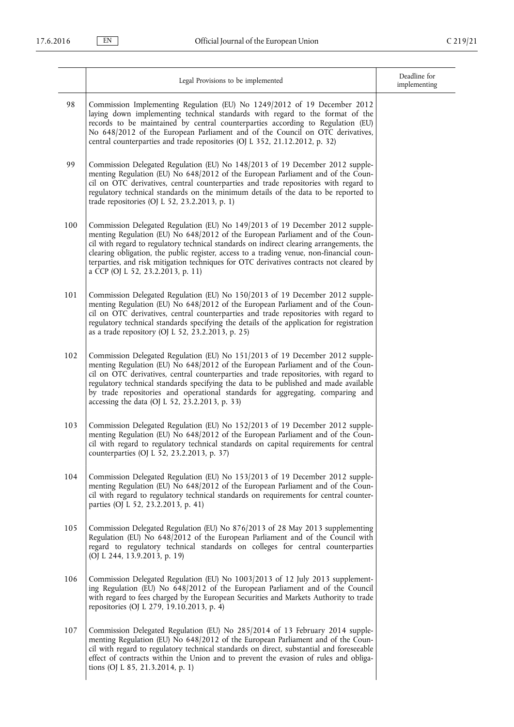|     | Legal Provisions to be implemented                                                                                                                                                                                                                                                                                                                                                                                                                                                      | Deadline for<br>implementing |
|-----|-----------------------------------------------------------------------------------------------------------------------------------------------------------------------------------------------------------------------------------------------------------------------------------------------------------------------------------------------------------------------------------------------------------------------------------------------------------------------------------------|------------------------------|
| 98  | Commission Implementing Regulation (EU) No 1249/2012 of 19 December 2012<br>laying down implementing technical standards with regard to the format of the<br>records to be maintained by central counterparties according to Regulation (EU)<br>No 648/2012 of the European Parliament and of the Council on OTC derivatives,<br>central counterparties and trade repositories (OJ L 352, 21.12.2012, p. 32)                                                                            |                              |
| 99  | Commission Delegated Regulation (EU) No 148/2013 of 19 December 2012 supple-<br>menting Regulation (EU) No 648/2012 of the European Parliament and of the Coun-<br>cil on OTC derivatives, central counterparties and trade repositories with regard to<br>regulatory technical standards on the minimum details of the data to be reported to<br>trade repositories (OJ L 52, 23.2.2013, p. 1)                                                                                         |                              |
| 100 | Commission Delegated Regulation (EU) No 149/2013 of 19 December 2012 supple-<br>menting Regulation (EU) No 648/2012 of the European Parliament and of the Coun-<br>cil with regard to regulatory technical standards on indirect clearing arrangements, the<br>clearing obligation, the public register, access to a trading venue, non-financial coun-<br>terparties, and risk mitigation techniques for OTC derivatives contracts not cleared by<br>a CCP (OJ L 52, 23.2.2013, p. 11) |                              |
| 101 | Commission Delegated Regulation (EU) No 150/2013 of 19 December 2012 supple-<br>menting Regulation (EU) No 648/2012 of the European Parliament and of the Coun-<br>cil on OTC derivatives, central counterparties and trade repositories with regard to<br>regulatory technical standards specifying the details of the application for registration<br>as a trade repository (OJ L 52, 23.2.2013, p. 25)                                                                               |                              |
| 102 | Commission Delegated Regulation (EU) No 151/2013 of 19 December 2012 supple-<br>menting Regulation (EU) No 648/2012 of the European Parliament and of the Coun-<br>cil on OTC derivatives, central counterparties and trade repositories, with regard to<br>regulatory technical standards specifying the data to be published and made available<br>by trade repositories and operational standards for aggregating, comparing and<br>accessing the data (OJ L 52, 23.2.2013, p. 33)   |                              |
| 103 | Commission Delegated Regulation (EU) No 152/2013 of 19 December 2012 supple-<br>menting Regulation (EU) No 648/2012 of the European Parliament and of the Coun-<br>cil with regard to regulatory technical standards on capital requirements for central<br>counterparties (OJ L 52, 23.2.2013, p. 37)                                                                                                                                                                                  |                              |
| 104 | Commission Delegated Regulation (EU) No 153/2013 of 19 December 2012 supple-<br>menting Regulation (EU) No 648/2012 of the European Parliament and of the Coun-<br>cil with regard to regulatory technical standards on requirements for central counter-<br>parties (OJ L 52, 23.2.2013, p. 41)                                                                                                                                                                                        |                              |
| 105 | Commission Delegated Regulation (EU) No 876/2013 of 28 May 2013 supplementing<br>Regulation (EU) No 648/2012 of the European Parliament and of the Council with<br>regard to regulatory technical standards on colleges for central counterparties<br>(OJ L 244, 13.9.2013, p. 19)                                                                                                                                                                                                      |                              |
| 106 | Commission Delegated Regulation (EU) No 1003/2013 of 12 July 2013 supplement-<br>ing Regulation (EU) No 648/2012 of the European Parliament and of the Council<br>with regard to fees charged by the European Securities and Markets Authority to trade<br>repositories (OJ L 279, 19.10.2013, p. 4)                                                                                                                                                                                    |                              |
| 107 | Commission Delegated Regulation (EU) No 285/2014 of 13 February 2014 supple-<br>menting Regulation (EU) No 648/2012 of the European Parliament and of the Coun-<br>cil with regard to regulatory technical standards on direct, substantial and foreseeable<br>effect of contracts within the Union and to prevent the evasion of rules and obliga-<br>tions (OJ L 85, 21.3.2014, p. 1)                                                                                                 |                              |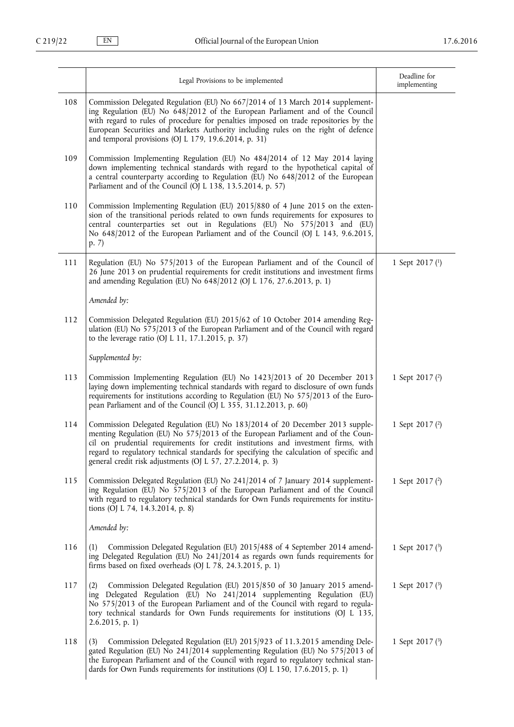|     |                                                                                                                                                                                                                                                                                                                                                                                                               | Deadline for      |
|-----|---------------------------------------------------------------------------------------------------------------------------------------------------------------------------------------------------------------------------------------------------------------------------------------------------------------------------------------------------------------------------------------------------------------|-------------------|
|     | Legal Provisions to be implemented                                                                                                                                                                                                                                                                                                                                                                            | implementing      |
| 108 | Commission Delegated Regulation (EU) No 667/2014 of 13 March 2014 supplement-<br>ing Regulation (EU) No 648/2012 of the European Parliament and of the Council<br>with regard to rules of procedure for penalties imposed on trade repositories by the<br>European Securities and Markets Authority including rules on the right of defence<br>and temporal provisions (OJ L 179, 19.6.2014, p. 31)           |                   |
| 109 | Commission Implementing Regulation (EU) No 484/2014 of 12 May 2014 laying<br>down implementing technical standards with regard to the hypothetical capital of<br>a central counterparty according to Regulation (EU) No 648/2012 of the European<br>Parliament and of the Council (OJ L 138, 13.5.2014, p. 57)                                                                                                |                   |
| 110 | Commission Implementing Regulation (EU) 2015/880 of 4 June 2015 on the exten-<br>sion of the transitional periods related to own funds requirements for exposures to<br>central counterparties set out in Regulations (EU) No 575/2013 and (EU)<br>No 648/2012 of the European Parliament and of the Council (OJ L 143, 9.6.2015,<br>p. 7)                                                                    |                   |
| 111 | Regulation (EU) No 575/2013 of the European Parliament and of the Council of<br>26 June 2013 on prudential requirements for credit institutions and investment firms<br>and amending Regulation (EU) No 648/2012 (OJ L 176, 27.6.2013, p. 1)                                                                                                                                                                  | 1 Sept 2017 (1)   |
|     | Amended by:                                                                                                                                                                                                                                                                                                                                                                                                   |                   |
| 112 | Commission Delegated Regulation (EU) 2015/62 of 10 October 2014 amending Reg-<br>ulation (EU) No 575/2013 of the European Parliament and of the Council with regard<br>to the leverage ratio (OJ L 11, 17.1.2015, p. 37)                                                                                                                                                                                      |                   |
|     | Supplemented by:                                                                                                                                                                                                                                                                                                                                                                                              |                   |
| 113 | Commission Implementing Regulation (EU) No 1423/2013 of 20 December 2013<br>laying down implementing technical standards with regard to disclosure of own funds<br>requirements for institutions according to Regulation (EU) No 575/2013 of the Euro-<br>pean Parliament and of the Council (OJ L 355, 31.12.2013, p. 60)                                                                                    | 1 Sept 2017 $(2)$ |
| 114 | Commission Delegated Regulation (EU) No 183/2014 of 20 December 2013 supple-<br>menting Regulation (EU) No 575/2013 of the European Parliament and of the Coun-<br>cil on prudential requirements for credit institutions and investment firms, with<br>regard to regulatory technical standards for specifying the calculation of specific and<br>general credit risk adjustments (OJ L 57, 27.2.2014, p. 3) | 1 Sept 2017 $(2)$ |
| 115 | Commission Delegated Regulation (EU) No 241/2014 of 7 January 2014 supplement-<br>ing Regulation (EU) No 575/2013 of the European Parliament and of the Council<br>with regard to regulatory technical standards for Own Funds requirements for institu-<br>tions (OJ L 74, 14.3.2014, p. 8)                                                                                                                  | 1 Sept 2017 $(2)$ |
|     | Amended by:                                                                                                                                                                                                                                                                                                                                                                                                   |                   |
| 116 | Commission Delegated Regulation (EU) 2015/488 of 4 September 2014 amend-<br>(1)<br>ing Delegated Regulation (EU) No 241/2014 as regards own funds requirements for<br>firms based on fixed overheads (OJ L 78, 24.3.2015, p. 1)                                                                                                                                                                               | 1 Sept 2017 (3)   |
| 117 | Commission Delegated Regulation (EU) 2015/850 of 30 January 2015 amend-<br>(2)<br>ing Delegated Regulation (EU) No 241/2014 supplementing Regulation (EU)<br>No 575/2013 of the European Parliament and of the Council with regard to regula-<br>tory technical standards for Own Funds requirements for institutions (OJ L 135,<br>2.6.2015, p. 1)                                                           | 1 Sept 2017 $(3)$ |
| 118 | Commission Delegated Regulation (EU) 2015/923 of 11.3.2015 amending Dele-<br>(3)<br>gated Regulation (EU) No 241/2014 supplementing Regulation (EU) No 575/2013 of<br>the European Parliament and of the Council with regard to regulatory technical stan-<br>dards for Own Funds requirements for institutions (OJ L 150, 17.6.2015, p. 1)                                                                   | 1 Sept 2017 $(3)$ |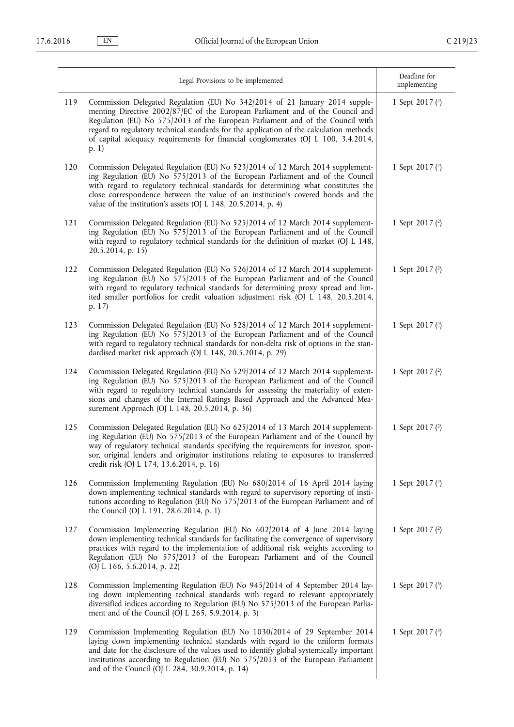|     | Legal Provisions to be implemented                                                                                                                                                                                                                                                                                                                                                                                                        | Deadline for<br>implementing |
|-----|-------------------------------------------------------------------------------------------------------------------------------------------------------------------------------------------------------------------------------------------------------------------------------------------------------------------------------------------------------------------------------------------------------------------------------------------|------------------------------|
| 119 | Commission Delegated Regulation (EU) No 342/2014 of 21 January 2014 supple-<br>menting Directive 2002/87/EC of the European Parliament and of the Council and<br>Regulation (EU) No 575/2013 of the European Parliament and of the Council with<br>regard to regulatory technical standards for the application of the calculation methods<br>of capital adequacy requirements for financial conglomerates (OJ L 100, 3.4.2014,<br>(p. 1) | 1 Sept 2017 $(2)$            |
| 120 | Commission Delegated Regulation (EU) No 523/2014 of 12 March 2014 supplement-<br>ing Regulation (EU) No 575/2013 of the European Parliament and of the Council<br>with regard to regulatory technical standards for determining what constitutes the<br>close correspondence between the value of an institution's covered bonds and the<br>value of the institution's assets (OJ L 148, 20.5.2014, p. 4)                                 | 1 Sept 2017 $(2)$            |
| 121 | Commission Delegated Regulation (EU) No 525/2014 of 12 March 2014 supplement-<br>ing Regulation (EU) No 575/2013 of the European Parliament and of the Council<br>with regard to regulatory technical standards for the definition of market (OJ L 148,<br>20.5.2014, p. 15)                                                                                                                                                              | 1 Sept 2017 (2)              |
| 122 | Commission Delegated Regulation (EU) No 526/2014 of 12 March 2014 supplement-<br>ing Regulation (EU) No 575/2013 of the European Parliament and of the Council<br>with regard to regulatory technical standards for determining proxy spread and lim-<br>ited smaller portfolios for credit valuation adjustment risk (OJ L 148, 20.5.2014,<br>p. 17)                                                                                     | 1 Sept 2017 (2)              |
| 123 | Commission Delegated Regulation (EU) No 528/2014 of 12 March 2014 supplement-<br>ing Regulation (EU) No 575/2013 of the European Parliament and of the Council<br>with regard to regulatory technical standards for non-delta risk of options in the stan-<br>dardised market risk approach (OJ L 148, 20.5.2014, p. 29)                                                                                                                  | 1 Sept 2017 (2)              |
| 124 | Commission Delegated Regulation (EU) No 529/2014 of 12 March 2014 supplement-<br>ing Regulation (EU) No 575/2013 of the European Parliament and of the Council<br>with regard to regulatory technical standards for assessing the materiality of exten-<br>sions and changes of the Internal Ratings Based Approach and the Advanced Mea-<br>surement Approach (OJ L 148, 20.5.2014, p. 36)                                               | 1 Sept 2017 (2)              |
| 125 | Commission Delegated Regulation (EU) No 625/2014 of 13 March 2014 supplement-<br>ing Regulation (EU) No 575/2013 of the European Parliament and of the Council by<br>way of regulatory technical standards specifying the requirements for investor, spon-<br>sor, original lenders and originator institutions relating to exposures to transferred<br>credit risk (OJ L 174, 13.6.2014, p. 16)                                          | 1 Sept 2017 $(2)$            |
| 126 | Commission Implementing Regulation (EU) No 680/2014 of 16 April 2014 laying<br>down implementing technical standards with regard to supervisory reporting of insti-<br>tutions according to Regulation (EU) No 575/2013 of the European Parliament and of<br>the Council (OJ L 191, 28.6.2014, p. 1)                                                                                                                                      | 1 Sept 2017 $(2)$            |
| 127 | Commission Implementing Regulation (EU) No 602/2014 of 4 June 2014 laying<br>down implementing technical standards for facilitating the convergence of supervisory<br>practices with regard to the implementation of additional risk weights according to<br>Regulation (EU) No 575/2013 of the European Parliament and of the Council<br>(OJ L 166, 5.6.2014, p. 22)                                                                     | 1 Sept 2017 (2)              |
| 128 | Commission Implementing Regulation (EU) No 945/2014 of 4 September 2014 lay-<br>ing down implementing technical standards with regard to relevant appropriately<br>diversified indices according to Regulation (EU) No 575/2013 of the European Parlia-<br>ment and of the Council (OJ L 265, 5.9.2014, p. 3)                                                                                                                             | 1 Sept 2017 $(3)$            |
| 129 | Commission Implementing Regulation (EU) No 1030/2014 of 29 September 2014<br>laying down implementing technical standards with regard to the uniform formats<br>and date for the disclosure of the values used to identify global systemically important<br>institutions according to Regulation (EU) No 575/2013 of the European Parliament<br>and of the Council (OJ L 284, 30.9.2014, p. 14)                                           | 1 Sept 2017 $(3)$            |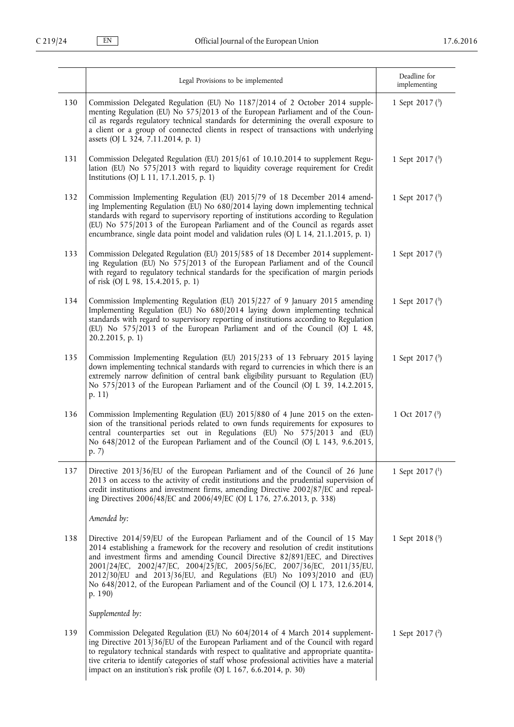|     | Legal Provisions to be implemented                                                                                                                                                                                                                                                                                                                                                                                                                                                                        | Deadline for<br>implementing |
|-----|-----------------------------------------------------------------------------------------------------------------------------------------------------------------------------------------------------------------------------------------------------------------------------------------------------------------------------------------------------------------------------------------------------------------------------------------------------------------------------------------------------------|------------------------------|
| 130 | Commission Delegated Regulation (EU) No 1187/2014 of 2 October 2014 supple-<br>menting Regulation (EU) No 575/2013 of the European Parliament and of the Coun-<br>cil as regards regulatory technical standards for determining the overall exposure to<br>a client or a group of connected clients in respect of transactions with underlying<br>assets (OJ L 324, 7.11.2014, p. 1)                                                                                                                      | 1 Sept 2017 $(3)$            |
| 131 | Commission Delegated Regulation (EU) 2015/61 of 10.10.2014 to supplement Regu-<br>lation (EU) No 575/2013 with regard to liquidity coverage requirement for Credit<br>Institutions (OJ L 11, 17.1.2015, p. 1)                                                                                                                                                                                                                                                                                             | 1 Sept 2017 $(3)$            |
| 132 | Commission Implementing Regulation (EU) 2015/79 of 18 December 2014 amend-<br>ing Implementing Regulation (EU) No 680/2014 laying down implementing technical<br>standards with regard to supervisory reporting of institutions according to Regulation<br>(EU) No 575/2013 of the European Parliament and of the Council as regards asset<br>encumbrance, single data point model and validation rules (OJ L 14, 21.1.2015, p. 1)                                                                        | 1 Sept 2017 $(3)$            |
| 133 | Commission Delegated Regulation (EU) 2015/585 of 18 December 2014 supplement-<br>ing Regulation (EU) No 575/2013 of the European Parliament and of the Council<br>with regard to regulatory technical standards for the specification of margin periods<br>of risk (OJ L 98, 15.4.2015, p. 1)                                                                                                                                                                                                             | 1 Sept 2017 $(3)$            |
| 134 | Commission Implementing Regulation (EU) 2015/227 of 9 January 2015 amending<br>Implementing Regulation (EU) No 680/2014 laying down implementing technical<br>standards with regard to supervisory reporting of institutions according to Regulation<br>(EU) No 575/2013 of the European Parliament and of the Council (OJ L 48,<br>20.2.2015, p. 1)                                                                                                                                                      | 1 Sept 2017 $(3)$            |
| 135 | Commission Implementing Regulation (EU) 2015/233 of 13 February 2015 laying<br>down implementing technical standards with regard to currencies in which there is an<br>extremely narrow definition of central bank eligibility pursuant to Regulation (EU)<br>No 575/2013 of the European Parliament and of the Council (OJ L 39, 14.2.2015,<br>p. 11)                                                                                                                                                    | 1 Sept 2017 $(3)$            |
| 136 | Commission Implementing Regulation (EU) 2015/880 of 4 June 2015 on the exten-<br>sion of the transitional periods related to own funds requirements for exposures to<br>central counterparties set out in Regulations (EU) No 575/2013 and (EU)<br>No 648/2012 of the European Parliament and of the Council (OJ L 143, 9.6.2015,<br>p. 7)                                                                                                                                                                | 1 Oct 2017 $(3)$             |
| 137 | Directive 2013/36/EU of the European Parliament and of the Council of 26 June<br>2013 on access to the activity of credit institutions and the prudential supervision of<br>credit institutions and investment firms, amending Directive 2002/87/EC and repeal-<br>ing Directives 2006/48/EC and 2006/49/EC (OJ L 176, 27.6.2013, p. 338)                                                                                                                                                                 | 1 Sept 2017 $(1)$            |
|     | Amended by:                                                                                                                                                                                                                                                                                                                                                                                                                                                                                               |                              |
| 138 | Directive 2014/59/EU of the European Parliament and of the Council of 15 May<br>2014 establishing a framework for the recovery and resolution of credit institutions<br>and investment firms and amending Council Directive 82/891/EEC, and Directives<br>2001/24/EC, 2002/47/EC, 2004/25/EC, 2005/56/EC, 2007/36/EC, 2011/35/EU,<br>2012/30/EU and 2013/36/EU, and Regulations (EU) No 1093/2010 and (EU)<br>No 648/2012, of the European Parliament and of the Council (OJ L 173, 12.6.2014,<br>p. 190) | 1 Sept 2018 $(3)$            |
|     | Supplemented by:                                                                                                                                                                                                                                                                                                                                                                                                                                                                                          |                              |
| 139 | Commission Delegated Regulation (EU) No 604/2014 of 4 March 2014 supplement-<br>ing Directive 2013/36/EU of the European Parliament and of the Council with regard<br>to regulatory technical standards with respect to qualitative and appropriate quantita-<br>tive criteria to identify categories of staff whose professional activities have a material<br>impact on an institution's risk profile (OJ L 167, 6.6.2014, p. 30)                                                                       | 1 Sept 2017 (2)              |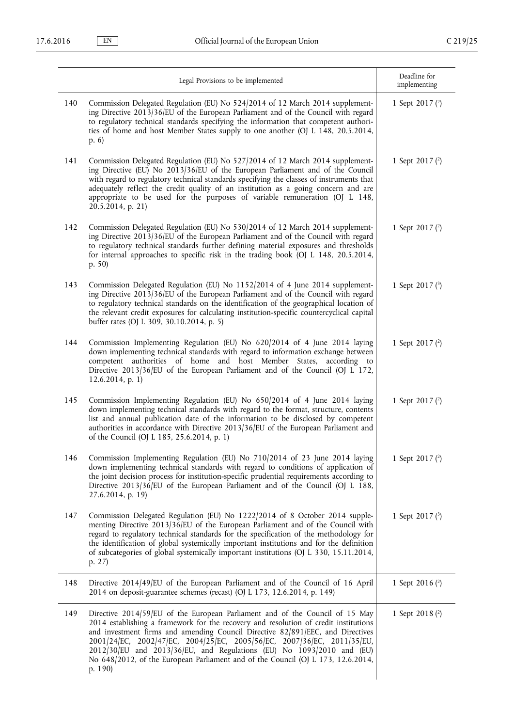|     | Legal Provisions to be implemented                                                                                                                                                                                                                                                                                                                                                                                                                                                                        | Deadline for<br>implementing |
|-----|-----------------------------------------------------------------------------------------------------------------------------------------------------------------------------------------------------------------------------------------------------------------------------------------------------------------------------------------------------------------------------------------------------------------------------------------------------------------------------------------------------------|------------------------------|
| 140 | Commission Delegated Regulation (EU) No 524/2014 of 12 March 2014 supplement-<br>ing Directive 2013/36/EU of the European Parliament and of the Council with regard<br>to regulatory technical standards specifying the information that competent authori-<br>ties of home and host Member States supply to one another (OJ L 148, 20.5.2014,<br>p.6                                                                                                                                                     | 1 Sept 2017 $(2)$            |
| 141 | Commission Delegated Regulation (EU) No 527/2014 of 12 March 2014 supplement-<br>ing Directive (EU) No 2013/36/EU of the European Parliament and of the Council<br>with regard to regulatory technical standards specifying the classes of instruments that<br>adequately reflect the credit quality of an institution as a going concern and are<br>appropriate to be used for the purposes of variable remuneration (OJ L 148,<br>20.5.2014, p. 21)                                                     | 1 Sept 2017 $(2)$            |
| 142 | Commission Delegated Regulation (EU) No 530/2014 of 12 March 2014 supplement-<br>ing Directive 2013/36/EU of the European Parliament and of the Council with regard<br>to regulatory technical standards further defining material exposures and thresholds<br>for internal approaches to specific risk in the trading book (OJ L 148, 20.5.2014,<br>p. 50)                                                                                                                                               | 1 Sept 2017 $(2)$            |
| 143 | Commission Delegated Regulation (EU) No 1152/2014 of 4 June 2014 supplement-<br>ing Directive 2013/36/EU of the European Parliament and of the Council with regard<br>to regulatory technical standards on the identification of the geographical location of<br>the relevant credit exposures for calculating institution-specific countercyclical capital<br>buffer rates (OJ L 309, 30.10.2014, p. 5)                                                                                                  | 1 Sept 2017 $(3)$            |
| 144 | Commission Implementing Regulation (EU) No 620/2014 of 4 June 2014 laying<br>down implementing technical standards with regard to information exchange between<br>competent authorities of home and host Member States, according to<br>Directive 2013/36/EU of the European Parliament and of the Council (OJ L 172,<br>$12.6.2014$ , p. 1)                                                                                                                                                              | 1 Sept 2017 (2)              |
| 145 | Commission Implementing Regulation (EU) No 650/2014 of 4 June 2014 laying<br>down implementing technical standards with regard to the format, structure, contents<br>list and annual publication date of the information to be disclosed by competent<br>authorities in accordance with Directive 2013/36/EU of the European Parliament and<br>of the Council (OJ L 185, 25.6.2014, p. 1)                                                                                                                 | 1 Sept 2017 $(2)$            |
| 146 | Commission Implementing Regulation (EU) No 710/2014 of 23 June 2014 laying<br>down implementing technical standards with regard to conditions of application of<br>the joint decision process for institution-specific prudential requirements according to<br>Directive 2013/36/EU of the European Parliament and of the Council (OJ L 188,<br>$27.6.2014$ , p. 19)                                                                                                                                      | 1 Sept 2017 (2)              |
| 147 | Commission Delegated Regulation (EU) No 1222/2014 of 8 October 2014 supple-<br>menting Directive 2013/36/EU of the European Parliament and of the Council with<br>regard to regulatory technical standards for the specification of the methodology for<br>the identification of global systemically important institutions and for the definition<br>of subcategories of global systemically important institutions (OJ L 330, 15.11.2014,<br>p. 27)                                                     | 1 Sept 2017 $(3)$            |
| 148 | Directive 2014/49/EU of the European Parliament and of the Council of 16 April<br>2014 on deposit-guarantee schemes (recast) (OJ L 173, 12.6.2014, p. 149)                                                                                                                                                                                                                                                                                                                                                | 1 Sept 2016 $(2)$            |
| 149 | Directive 2014/59/EU of the European Parliament and of the Council of 15 May<br>2014 establishing a framework for the recovery and resolution of credit institutions<br>and investment firms and amending Council Directive 82/891/EEC, and Directives<br>2001/24/EC, 2002/47/EC, 2004/25/EC, 2005/56/EC, 2007/36/EC, 2011/35/EU,<br>2012/30/EU and 2013/36/EU, and Regulations (EU) No 1093/2010 and (EU)<br>No 648/2012, of the European Parliament and of the Council (OJ L 173, 12.6.2014,<br>p. 190) | 1 Sept 2018 (2)              |